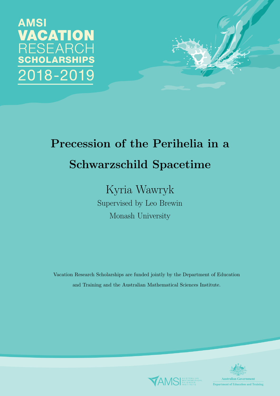## **AMSI** VACATION **RESEARCH CHOLARSHIPS** 018-2019



# Precession of the Perihelia in a Schwarzschild Spacetime

Kyria Wawryk Supervised by Leo Brewin Monash University

Vacation Research Scholarships are funded jointly by the Department of Education and Training and the Australian Mathematical Sciences Institute.



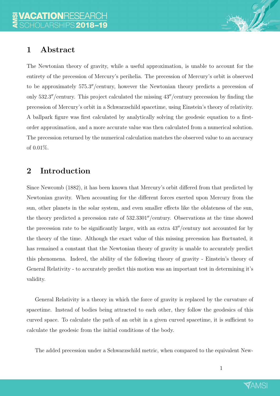

## 1 Abstract

The Newtonian theory of gravity, while a useful approximation, is unable to account for the entirety of the precession of Mercury's perihelia. The precession of Mercury's orbit is observed to be approximately 575.3"/century, however the Newtonian theory predicts a precession of only  $532.3''$ /century. This project calculated the missing  $43''$ /century precession by finding the precession of Mercury's orbit in a Schwarzschild spacetime, using Einstein's theory of relativity. A ballpark figure was first calculated by analytically solving the geodesic equation to a firstorder approximation, and a more accurate value was then calculated from a numerical solution. The precession returned by the numerical calculation matches the observed value to an accuracy of 0.01%.

## 2 Introduction

Since Newcomb (1882), it has been known that Mercury's orbit differed from that predicted by Newtonian gravity. When accounting for the different forces exerted upon Mercury from the sun, other planets in the solar system, and even smaller effects like the oblateness of the sun, the theory predicted a precession rate of  $532.3301''/century$ . Observations at the time showed the precession rate to be significantly larger, with an extra  $43''/century$  not accounted for by the theory of the time. Although the exact value of this missing precession has fluctuated, it has remained a constant that the Newtonian theory of gravity is unable to accurately predict this phenomena. Indeed, the ability of the following theory of gravity - Einstein's theory of General Relativity - to accurately predict this motion was an important test in determining it's validity.

General Relativity is a theory in which the force of gravity is replaced by the curvature of spacetime. Instead of bodies being attracted to each other, they follow the geodesics of this curved space. To calculate the path of an orbit in a given curved spacetime, it is sufficient to calculate the geodesic from the initial conditions of the body.

The added precession under a Schwarzschild metric, when compared to the equivalent New-

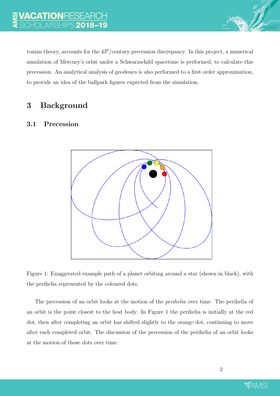

tonian theory, accounts for the  $43''/$ century precession discrepancy. In this project, a numerical simulation of Mercury's orbit under a Schwarzschild spacetime is performed, to calculate this precession. An analytical analysis of geodesics is also performed to a first order approximation, to provide an idea of the ballpark figures expected from the simulation.

## 3 Background

## 3.1 Precession



Figure 1: Exaggerated example path of a planet orbiting around a star (shown in black), with the perihelia represented by the coloured dots.

The precession of an orbit looks at the motion of the *perihelia* over time. The perihelia of an orbit is the point closest to the host body. In Figure 1 the perihelia is initially at the red dot, then after completing an orbit has shifted slightly to the orange dot, continuing to move after each completed orbit. The discussion of the precession of the perihelia of an orbit looks at the motion of those dots over time.

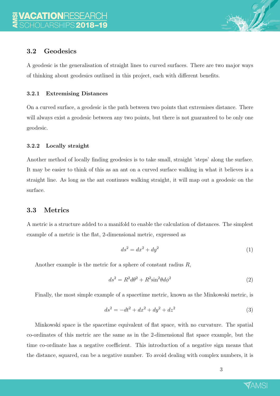

## 3.2 Geodesics

A geodesic is the generalisation of straight lines to curved surfaces. There are two major ways of thinking about geodesics outlined in this project, each with different benefits.

#### 3.2.1 Extremising Distances

On a curved surface, a geodesic is the path between two points that extremises distance. There will always exist a geodesic between any two points, but there is not guaranteed to be only one geodesic.

#### 3.2.2 Locally straight

Another method of locally finding geodesics is to take small, straight 'steps' along the surface. It may be easier to think of this as an ant on a curved surface walking in what it believes is a straight line. As long as the ant continues walking straight, it will map out a geodesic on the surface.

#### 3.3 Metrics

A metric is a structure added to a manifold to enable the calculation of distances. The simplest example of a metric is the flat, 2-dimensional metric, expressed as

$$
ds^2 = dx^2 + dy^2 \tag{1}
$$

Another example is the metric for a sphere of constant radius R,

$$
ds^2 = R^2 d\theta^2 + R^2 \sin^2 \theta d\phi^2 \tag{2}
$$

Finally, the most simple example of a spacetime metric, known as the Minkowski metric, is

$$
ds^2 = -dt^2 + dx^2 + dy^2 + dz^2
$$
\n(3)

Minkowski space is the spacetime equivalent of flat space, with no curvature. The spatial co-ordinates of this metric are the same as in the 2-dimensional flat space example, but the time co-ordinate has a negative coefficient. This introduction of a negative sign means that the distance, squared, can be a negative number. To avoid dealing with complex numbers, it is

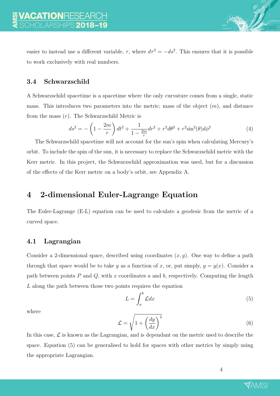easier to instead use a different variable,  $\tau$ , where  $d\tau^2 = -ds^2$ . This ensures that it is possible to work exclusively with real numbers.

## 3.4 Schwarzschild

A Schwarzschild spacetime is a spacetime where the only curvature comes from a single, static mass. This introduces two parameters into the metric; mass of the object  $(m)$ , and distance from the mass  $(r)$ . The Schwarzschild Metric is

$$
ds^{2} = -\left(1 - \frac{2m}{r}\right)dt^{2} + \frac{1}{1 - \frac{2m}{r}}dr^{2} + r^{2}d\theta^{2} + r^{2}\sin^{2}(\theta)d\phi^{2}
$$
(4)

The Schwarzschild spacetime will not account for the sun's spin when calculating Mercury's orbit. To include the spin of the sun, it is necessary to replace the Schwarzschild metric with the Kerr metric. In this project, the Schwarzschild approximation was used, but for a discussion of the effects of the Kerr metric on a body's orbit, see Appendix A.

## 4 2-dimensional Euler-Lagrange Equation

The Euler-Lagrange (E-L) equation can be used to calculate a geodesic from the metric of a curved space.

## 4.1 Lagrangian

Consider a 2-dimensional space, described using coordinates  $(x, y)$ . One way to define a path through that space would be to take y as a function of x, or, put simply,  $y = y(x)$ . Consider a path between points  $P$  and  $Q$ , with  $x$  coordinates  $a$  and  $b$ , respectively. Computing the length L along the path between those two points requires the equation

$$
L = \int_{a}^{b} \mathcal{L} dx \tag{5}
$$

where

$$
\mathcal{L} = \sqrt{1 + \left(\frac{dy}{dx}\right)^2} \tag{6}
$$

In this case,  $\mathcal L$  is known as the Lagrangian, and is dependant on the metric used to describe the space. Equation (5) can be generalised to hold for spaces with other metrics by simply using the appropriate Lagrangian.

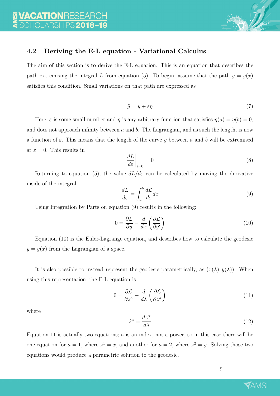

#### 4.2 Deriving the E-L equation - Variational Calculus

The aim of this section is to derive the E-L equation. This is an equation that describes the path extremising the integral L from equation (5). To begin, assume that the path  $y = y(x)$ satisfies this condition. Small variations on that path are expressed as

$$
\tilde{y} = y + \varepsilon \eta \tag{7}
$$

Here,  $\varepsilon$  is some small number and  $\eta$  is any arbitrary function that satisfies  $\eta(a) = \eta(b) = 0$ , and does not approach infinity between  $a$  and  $b$ . The Lagrangian, and as such the length, is now a function of  $\varepsilon$ . This means that the length of the curve  $\tilde{y}$  between a and b will be extremised at  $\varepsilon = 0$ . This results in

$$
\left. \frac{dL}{d\varepsilon} \right|_{\varepsilon=0} = 0 \tag{8}
$$

Returning to equation (5), the value  $dL/d\varepsilon$  can be calculated by moving the derivative inside of the integral.

$$
\frac{dL}{d\varepsilon} = \int_{a}^{b} \frac{d\mathcal{L}}{d\varepsilon} dx
$$
\n(9)

Using Integration by Parts on equation (9) results in the following:

$$
0 = \frac{\partial \mathcal{L}}{\partial y} - \frac{d}{dx} \left( \frac{\partial \mathcal{L}}{\partial y'} \right) \tag{10}
$$

Equation (10) is the Euler-Lagrange equation, and describes how to calculate the geodesic  $y = y(x)$  from the Lagrangian of a space.

It is also possible to instead represent the geodesic parametrically, as  $(x(\lambda), y(\lambda))$ . When using this representation, the E-L equation is

$$
0 = \frac{\partial \mathcal{L}}{\partial z^a} - \frac{d}{d\lambda} \left( \frac{\partial \mathcal{L}}{\partial \dot{z}^a} \right)
$$
(11)

where

$$
\dot{z}^{\alpha} = \frac{dz^{\alpha}}{d\lambda} \tag{12}
$$

Equation 11 is actually two equations;  $a$  is an index, not a power, so in this case there will be one equation for  $a = 1$ , where  $z^1 = x$ , and another for  $a = 2$ , where  $z^2 = y$ . Solving those two equations would produce a parametric solution to the geodesic.

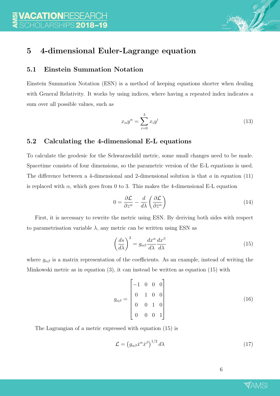

## 5 4-dimensional Euler-Lagrange equation

#### 5.1 Einstein Summation Notation

Einstein Summation Notation (ESN) is a method of keeping equations shorter when dealing with General Relativity. It works by using indices, where having a repeated index indicates a sum over all possible values, such as

$$
x_{\alpha}y^{\alpha} = \sum_{i=0}^{3} x_i y^i
$$
 (13)

#### 5.2 Calculating the 4-dimensional E-L equations

To calculate the geodesic for the Schwarzschild metric, some small changes need to be made. Spacetime consists of four dimensions, so the parametric version of the E-L equations is used. The difference between a 4-dimensional and 2-dimensional solution is that  $a$  in equation (11) is replaced with  $\alpha$ , which goes from 0 to 3. This makes the 4-dimensional E-L equation

$$
0 = \frac{\partial \mathcal{L}}{\partial z^{\alpha}} - \frac{d}{d\lambda} \left( \frac{\partial \mathcal{L}}{\partial \dot{z}^{\alpha}} \right)
$$
(14)

First, it is necessary to rewrite the metric using ESN. By deriving both sides with respect to parametrisation variable  $\lambda$ , any metric can be written using ESN as

$$
\left(\frac{ds}{d\lambda}\right)^2 = g_{\alpha\beta}\frac{dx^{\alpha}}{d\lambda}\frac{dx^{\beta}}{d\lambda}
$$
\n(15)

where  $g_{\alpha\beta}$  is a matrix representation of the coefficients. As an example, instead of writing the Minkowski metric as in equation (3), it can instead be written as equation (15) with

$$
g_{\alpha\beta} = \begin{bmatrix} -1 & 0 & 0 & 0 \\ 0 & 1 & 0 & 0 \\ 0 & 0 & 1 & 0 \\ 0 & 0 & 0 & 1 \end{bmatrix}
$$
 (16)

The Lagrangian of a metric expressed with equation (15) is

$$
\mathcal{L} = \left( g_{\alpha\beta} \dot{x}^{\alpha} \dot{x}^{\beta} \right)^{1/2} d\lambda \tag{17}
$$

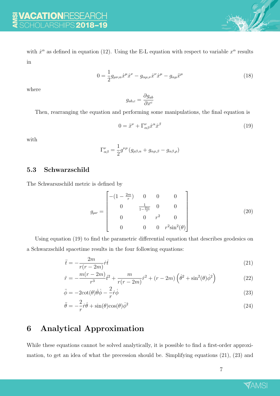with  $\dot{x}^{\alpha}$  as defined in equation (12). Using the E-L equation with respect to variable  $x^{\alpha}$  results in

$$
0 = \frac{1}{2} g_{\mu\nu,\alpha} \dot{x}^{\mu} \dot{x}^{\nu} - g_{\alpha\mu,\nu} \dot{x}^{\nu} \dot{x}^{\mu} - g_{\alpha\mu} \ddot{x}^{\mu}
$$
\n(18)

where

$$
g_{ab,c} = \frac{\partial g_{ab}}{\partial x^c}
$$

Then, rearranging the equation and performing some manipulations, the final equation is

$$
0 = \ddot{x}^{\nu} + \Gamma^{\nu}_{\alpha\beta}\dot{x}^{\alpha}\dot{x}^{\beta} \tag{19}
$$

with

$$
\Gamma^{\nu}_{\alpha\beta} = \frac{1}{2} g^{\nu\rho} \left( g_{\rho\beta,\alpha} + g_{\alpha\rho,\beta} - g_{\alpha\beta,\rho} \right)
$$

#### 5.3 Schwarzschild

The Schwarszschild metric is defined by

$$
g_{\mu\nu} = \begin{bmatrix} -(1 - \frac{2m}{r}) & 0 & 0 & 0 \\ 0 & \frac{1}{1 - \frac{2m}{r}} & 0 & 0 \\ 0 & 0 & r^2 & 0 \\ 0 & 0 & 0 & r^2 \sin^2(\theta) \end{bmatrix}
$$
(20)

Using equation (19) to find the parametric differential equation that describes geodesics on a Schwarzschild spacetime results in the four following equations:

$$
\ddot{t} = -\frac{2m}{r(r-2m)}\dot{r}\dot{t}
$$
\n(21)

$$
\ddot{r} = -\frac{m(r - 2m)}{r^3} \dot{t}^2 + \frac{m}{r(r - 2m)} \dot{r}^2 + (r - 2m) \left(\dot{\theta}^2 + \sin^2(\theta)\dot{\phi}^2\right)
$$
(22)

$$
\ddot{\phi} = -2\cot(\theta)\dot{\theta}\dot{\phi} - \frac{2}{r}\dot{r}\dot{\phi}
$$
\n(23)

$$
\ddot{\theta} = -\frac{2}{r}\dot{r}\dot{\theta} + \sin(\theta)\cos(\theta)\dot{\phi}^2\tag{24}
$$

## 6 Analytical Approximation

While these equations cannot be solved analytically, it is possible to find a first-order approximation, to get an idea of what the precession should be. Simplifying equations (21), (23) and

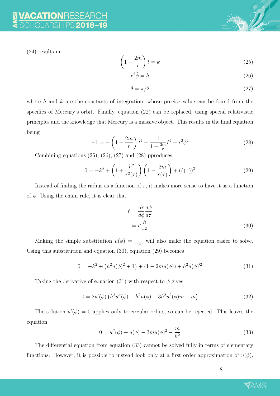(24) results in:

$$
\left(1 - \frac{2m}{r}\right)\dot{t} = k\tag{25}
$$

$$
r^2 \dot{\phi} = h \tag{26}
$$

$$
\theta = \pi/2 \tag{27}
$$

where h and  $k$  are the constants of integration, whose precise value can be found from the specifics of Mercury's orbit. Finally, equation (22) can be replaced, using special relativistic principles and the knowledge that Mercury is a massive object. This results in the final equation being

$$
-1 = -\left(1 - \frac{2m}{r}\right)\dot{t}^2 + \frac{1}{1 - \frac{2m}{r}}\dot{r}^2 + r^2\dot{\phi}^2\tag{28}
$$

Combining equations  $(25)$ ,  $(26)$ ,  $(27)$  and  $(28)$  pproduces

$$
0 = -k^2 + \left(1 + \frac{h^2}{r^2(\tau)}\right) \left(1 - \frac{2m}{r(\tau)}\right) + \left(\dot{r}(\tau)\right)^2 \tag{29}
$$

Instead of finding the radius as a function of  $\tau$ , it makes more sense to have it as a function of  $\phi$ . Using the chain rule, it is clear that

$$
\dot{r} = \frac{dr}{d\phi} \frac{d\phi}{d\tau}
$$

$$
= r' \frac{h}{r^2}
$$
(30)

Making the simple substitution  $u(\phi) = \frac{1}{r(\phi)}$  will also make the equation easier to solve. Using this substitution and equation (30), equation (29) becomes

$$
0 = -k^2 + (h^2 u(\phi)^2 + 1) + (1 - 2mu(\phi)) + h^2 u(\phi)^2 \tag{31}
$$

Taking the derivative of equation (31) with respect to  $\phi$  gives

$$
0 = 2u'(\phi) \left( h^2 u''(\phi) + h^2 u(\phi) - 3h^2 u^2(\phi) m - m \right)
$$
\n(32)

The solution  $u'(\phi) = 0$  applies only to circular orbits, so can be rejected. This leaves the equation

$$
0 = u''(\phi) + u(\phi) - 3mu(\phi)^2 - \frac{m}{h^2}
$$
\n(33)

The differential equation from equation (33) cannot be solved fully in terms of elementary functions. However, it is possible to instead look only at a first order approximation of  $u(\phi)$ .

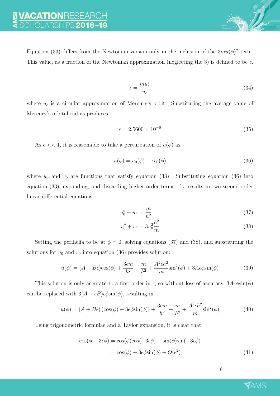Equation (33) differs from the Newtonian version only in the inclusion of the  $3mu(\phi)^2$  term. This value, as a fraction of the Newtonian approximation (neglecting the 3) is defined to be  $\epsilon$ .

$$
\epsilon = \frac{m u_c^2}{u_c} \tag{34}
$$

where  $u_c$  is a circular approximation of Mercury's orbit. Substituting the average value of Mercury's orbital radius produces

$$
\epsilon = 2.5600 \times 10^{-8} \tag{35}
$$

As  $\epsilon \ll 1$ , it is reasonable to take a perturbation of  $u(\phi)$  as

$$
u(\phi) = u_0(\phi) + \epsilon v_0(\phi) \tag{36}
$$

where  $u_0$  and  $v_0$  are functions that satisfy equation (33). Substituting equation (36) into equation (33), expanding, and discarding higher order terms of  $\epsilon$  results in two second-order linear differential equations.

$$
u_0'' + u_0 = \frac{m}{h^2} \tag{37}
$$

$$
v_0'' + v_0 = 3u_0^2 \frac{h^2}{m}
$$
\n(38)

Setting the perihelia to be at  $\phi = 0$ , solving equations (37) and (38), and substituting the solutions for  $u_0$  and  $v_0$  into equation (36) provides solution:

$$
u(\phi) = (A + B\epsilon)\cos(\phi) + \frac{3\epsilon m}{h^2} + \frac{m}{h^2} + \frac{A^2\epsilon h^2}{m}\sin^2(\phi) + 3A\epsilon\phi\sin(\phi)
$$
 (39)

This solution is only accurate to a first order in  $\epsilon$ , so without loss of accuracy,  $3A\epsilon\phi\sin(\phi)$ can be replaced with  $3(A + \epsilon B) \epsilon \phi \sin(\phi)$ , resulting in

$$
u(\phi) = (A + B\epsilon)\left(\cos(\phi) + 3\epsilon\phi\sin(\phi)\right) + \frac{3\epsilon m}{h^2} + \frac{m}{h^2} + \frac{A^2\epsilon h^2}{m}\sin^2(\phi)
$$
(40)

Using trigonometric formulae and a Taylor expansion, it is clear that

$$
\cos(\phi - 3\epsilon\phi) = \cos(\phi)\cos(-3\epsilon\phi) - \sin(\phi)\sin(-3\epsilon\phi)
$$

$$
= \cos(\phi) + 3\epsilon\phi\sin(\phi) + O(\epsilon^2)
$$
(41)

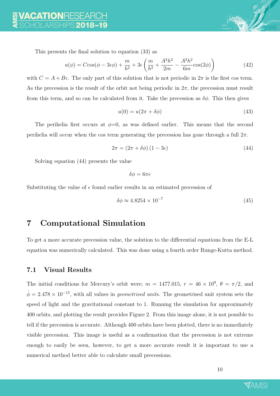

This presents the final solution to equation (33) as

$$
u(\phi) = C\cos(\phi - 3\epsilon\phi) + \frac{m}{h^2} + 3\epsilon \left(\frac{m}{h^2} + \frac{A^2h^2}{2m} - \frac{A^2h^2}{6m}\cos(2\phi)\right)
$$
(42)

with  $C = A + B\epsilon$ . The only part of this solution that is not periodic in  $2\pi$  is the first cos term. As the precession is the result of the orbit not being periodic in  $2\pi$ , the precession must result from this term, and so can be calculated from it. Take the precession as  $\delta\phi$ . This then gives

$$
u(0) = u(2\pi + \delta\phi) \tag{43}
$$

The perihelia first occurs at  $\phi=0$ , as was defined earlier. This means that the second perihelia will occur when the cos term generating the precession has gone through a full  $2\pi$ .

$$
2\pi = (2\pi + \delta\phi)(1 - 3\epsilon) \tag{44}
$$

Solving equation (44) presents the value

 $\delta \phi = 6\pi\epsilon$ 

Substituting the value of  $\epsilon$  found earlier results in an estimated precession of

$$
\delta\phi \approx 4.8254 \times 10^{-7} \tag{45}
$$

## 7 Computational Simulation

To get a more accurate precession value, the solution to the differential equations from the E-L equation was numerically calculated. This was done using a fourth order Runge-Kutta method.

#### 7.1 Visual Results

The initial conditions for Mercury's orbit were;  $m = 1477.015$ ,  $r = 46 \times 10^9$ ,  $\theta = \pi/2$ , and  $\dot{\phi} = 2.478 \times 10^{-15}$ , with all values in *geometrised units*. The geometrised unit system sets the speed of light and the gravitational constant to 1. Running the simulation for approximately 400 orbits, and plotting the result provides Figure 2. From this image alone, it is not possible to tell if the precession is accurate. Although 400 orbits have been plotted, there is no immediately visible precession. This image is useful as a confirmation that the precession is not extreme enough to easily be seen, however, to get a more accurate result it is important to use a numerical method better able to calculate small precessions.

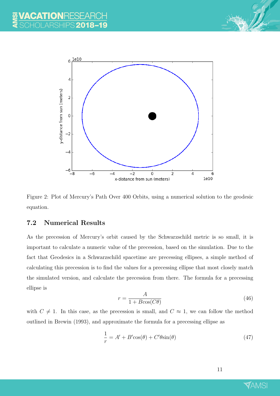



Figure 2: Plot of Mercury's Path Over 400 Orbits, using a numerical solution to the geodesic equation.

#### 7.2 Numerical Results

As the precession of Mercury's orbit caused by the Schwarzschild metric is so small, it is important to calculate a numeric value of the precession, based on the simulation. Due to the fact that Geodesics in a Schwarzschild spacetime are precessing ellipses, a simple method of calculating this precession is to find the values for a precessing ellipse that most closely match the simulated version, and calculate the precession from there. The formula for a precessing ellipse is

$$
r = \frac{A}{1 + B\cos(C\theta)}\tag{46}
$$

with  $C \neq 1$ . In this case, as the precession is small, and  $C \approx 1$ , we can follow the method outlined in Brewin (1993), and approximate the formula for a precessing ellipse as

$$
\frac{1}{r} = A' + B'\cos(\theta) + C'\theta\sin(\theta)
$$
\n(47)

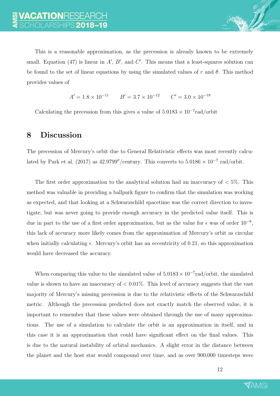

$$
A' = 1.8 \times 10^{-11} \qquad B' = 3.7 \times 10^{-12} \qquad C' = 3.0 \times 10^{-19}
$$

Calculating the precession from this gives a value of  $5.0183 \times 10^{-7}$  rad/orbit

## 8 Discussion

The precession of Mercury's orbit due to General Relativistic effects was most recently calculated by Park et al. (2017) as 42.9799"/century. This converts to  $5.0186 \times 10^{-7}$  rad/orbit.

The first order approximation to the analytical solution had an inaccuracy of  $\lt 5\%$ . This method was valuable in providing a ballpark figure to confirm that the simulation was working as expected, and that looking at a Schwarzschild spacetime was the correct direction to investigate, but was never going to provide enough accuracy in the predicted value itself. This is due in part to the use of a first order approximation, but as the value for  $\epsilon$  was of order  $10^{-8}$ , this lack of accuracy more likely comes from the approximation of Mercury's orbit as circular when initially calculating  $\epsilon$ . Mercury's orbit has an eccentricity of 0.21, so this approximation would have decreased the accuracy.

When comparing this value to the simulated value of  $5.0183 \times 10^{-7}$  rad/orbit, the simulated value is shown to have an inaccuracy of  $< 0.01\%$ . This level of accuracy suggests that the vast majority of Mercury's missing precession is due to the relativistic effects of the Schwarzschild metric. Although the precession predicted does not exactly match the observed value, it is important to remember that these values were obtained through the use of many approximations. The use of a simulation to calculate the orbit is an approximation in itself, and in this case it is an approximation that could have significant effect on the final values. This is due to the natural instability of orbital mechanics. A slight error in the distance between the planet and the host star would compound over time, and as over 900,000 timesteps were

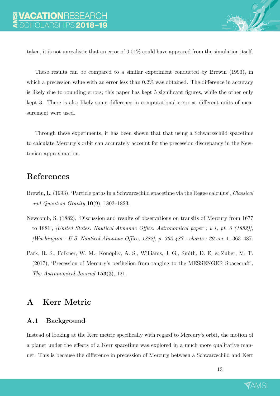taken, it is not unrealistic that an error of 0.01% could have appeared from the simulation itself.

These results can be compared to a similar experiment conducted by Brewin (1993), in which a precession value with an error less than  $0.2\%$  was obtained. The difference in accuracy is likely due to rounding errors; this paper has kept 5 significant figures, while the other only kept 3. There is also likely some difference in computational error as different units of measurement were used.

Through these experiments, it has been shown that that using a Schwarzschild spacetime to calculate Mercury's orbit can accurately account for the precession discrepancy in the Newtonian approximation.

## References

- Brewin, L. (1993), 'Particle paths in a Schwarzschild spacetime via the Regge calculus', Classical and Quantum Gravity  $10(9)$ , 1803-1823.
- Newcomb, S. (1882), 'Discussion and results of observations on transits of Mercury from 1677 to 1881', [United States. Nautical Almanac Office. Astronomical paper ; v.1, pt. 6 (1882)], [Washington : U.S. Nautical Almanac Office, 1882], p. 363-487 : charts ; 29 cm. 1, 363–487.
- Park, R. S., Folkner, W. M., Konopliv, A. S., Williams, J. G., Smith, D. E. & Zuber, M. T. (2017), 'Precession of Mercury's perihelion from ranging to the MESSENGER Spacecraft', The Astronomical Journal 153(3), 121.

## A Kerr Metric

#### A.1 Background

Instead of looking at the Kerr metric specifically with regard to Mercury's orbit, the motion of a planet under the effects of a Kerr spacetime was explored in a much more qualitative manner. This is because the difference in precession of Mercury between a Schwarzschild and Kerr

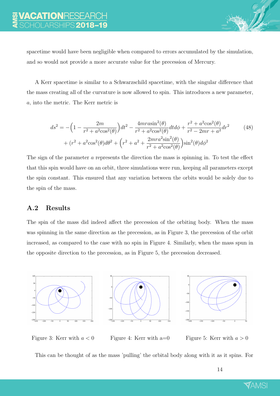spacetime would have been negligible when compared to errors accumulated by the simulation, and so would not provide a more accurate value for the precession of Mercury.

A Kerr spacetime is similar to a Schwarzschild spacetime, with the singular difference that the mass creating all of the curvature is now allowed to spin. This introduces a new parameter, a, into the metric. The Kerr metric is

$$
ds^{2} = -\left(1 - \frac{2m}{r^{2} + a^{2}\cos^{2}(\theta)}\right)dt^{2} - \frac{4mr\sin^{2}(\theta)}{r^{2} + a^{2}\cos^{2}(\theta)}dt d\phi + \frac{r^{2} + a^{2}\cos^{2}(\theta)}{r^{2} - 2mr + a^{2}}dr^{2}
$$
(48)  
+ 
$$
(r^{2} + a^{2}\cos^{2}(\theta)d\theta^{2} + \left(r^{2} + a^{2} + \frac{2mra^{2}\sin^{2}(\theta)}{r^{2} + a^{2}\cos^{2}(\theta)}\right)\sin^{2}(\theta)d\phi^{2}
$$

The sign of the parameter a represents the direction the mass is spinning in. To test the effect that this spin would have on an orbit, three simulations were run, keeping all parameters except the spin constant. This ensured that any variation between the orbits would be solely due to the spin of the mass.

## A.2 Results

The spin of the mass did indeed affect the precession of the orbiting body. When the mass was spinning in the same direction as the precession, as in Figure 3, the precession of the orbit increased, as compared to the case with no spin in Figure 4. Similarly, when the mass spun in the opposite direction to the precession, as in Figure 5, the precession decreased.







Figure 3: Kerr with  $a < 0$  Figure 4: Kerr with a=0 Figure 5: Kerr with  $a > 0$ 

This can be thought of as the mass 'pulling' the orbital body along with it as it spins. For